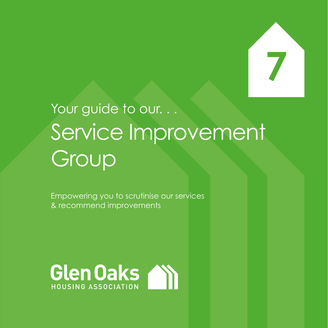

# Your guide to our. . . Service Improvement Group

Empowering you to scrutinise our services & recommend improvements

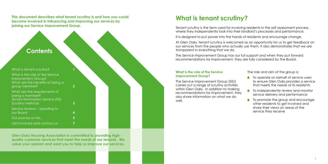**This document describes what tenant scrutiny is and how you could become involved in influencing and improving our services by joining our Service Improvement Group.**

**Glen Oaks Housing Association is committed to providing highquality customer services that meet the needs of our tenants. We value your opinion and want you to help us improve our services.**

| $\overline{2}$ |  |  |
|----------------|--|--|
| $\overline{3}$ |  |  |
| 4              |  |  |
| 5              |  |  |
|                |  |  |
|                |  |  |

- **■** To operate on behalf of service users to ensure Glen Oaks provides a service that meets the needs of its residents
- To independently review and monitor service delivery and performance
- $\blacksquare$  To promote the group and encourage other residents to get involved and share their views on areas of the service they receive

Tenant scrutiny is the term used for involving residents in the self assessment process, where they independently look into their landlord's processes and performance.

#### **What is the role of the Service Improvement Group?**

The Service Improvement Group (SIG) carries out a range of scrutiny activities within Glen Oaks. In addition to making recommendations for improvement, they also share information on what we do well.

The role and aim of the group is:

## **What is tenant scrutiny?**

It is designed to put power into the hands of residents and encourage change.

At Glen Oaks, tenant scrutiny is welcomed as an opportunity for us to get feedback on our services from the people who actually use them. It also demonstrates that we are transparent in everything that we do.

The Service Improvement Group has our full support and when they put forward recommendations for improvement, they are fully considered by the Board.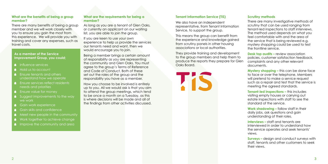#### **What are the benefits of being a group member?**

There are many benefits of being a group member and we will work closely with you to ensure you gain the most from this experience. We will provide you with training and cover any expenses, such as travel costs.

## **Improvement Group, you could;**

- $\blacksquare$ Influence services
- Hold us to account
- **Ensure tenants and others** understand how we operate
- **A** Ensure services reflect residents needs and priorities
- **Ensure value for money**
- As a member of the Service<br>
Improvement Group, you co<br>
1 Influence services<br>
Hold us to account<br>
Ensure tenants and other<br>
Understand how we ope<br>
Ensure services reflect res<br>
needs and priorities<br>
Ensure value for money<br>
S Suggest improvements to the way we work
- Gain work experience
- Gain skills and confidence
- Meet new people in the community
- Work together to achieve change
- **Improve the community and area.**

**Desk top audits – review association** policies, customer satisfaction feedback, complaints and any other relevant documents.

### **Scrutiny methods**

There are many investigative methods of scrutiny that can be used ranging from tenant-led inspections to staff interviews. The method used depends on what you feel comfortable with and the area of the service that is being reviewed e.g. mystery shopping could be used to test the frontline service.

**Mystery shopping –** this can be done face to face or over the telephone. Members will pretend to make a service request such as a repair and test that the service is meeting the agreed standards.

If you are keen to use your own experience to help us provide the services our tenants need and want, then we would encourage you to join.

> **Tenant-led inspections –** this includes visiting empty houses or carrying out estate inspections with staff to see the standard of the service.

**Work shadowing –** follow staff in their daily jobs, ask questions and gain understanding of their roles.

**Interviews –** staff and tenants are interviewed in order to understand how the service operates and seek tenants' views.

**Surveys –** design and conduct surveys with staff, tenants and other customers to seek their views.

### **Tenant Information Service (TIS)**

We also have an independent representative, from Tenant Information Service, to support the group.

This means the group can benefit from the experience and knowledge gained from scrutiny panels in other housing associations or local authorities.

They provide training and development to the group members and help them to produce the reports they prepare for Glen Oaks Board.

#### **What are the requirements for being a member?**

As long as you are a tenant of Glen Oaks, or currently an applicant on our waiting list, you are able to join the group.

Being a member brings a certain amount of responsibility as you are representing the community and Glen Oaks. You must agree to the group's Terms of Reference and Code of Conduct. Both of these set out the roles of the group and the responsibility you have as a member.

How you choose to be involved is entirely up to you. All we would ask is that you aim to attend the group meetings, which tend to be once a month on a Tuesday, as this is where decisions will be made and all of the findings from other activities discussed.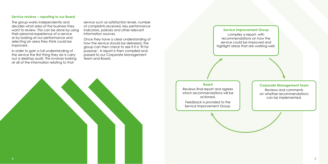

The group works independently and decides what area of the business they want to review. This can be done by using their personal experience of a service or by looking at our performance and selecting an area they think could be improved.

In order to gain a full understanding of the service the first thing they do is carry out a desktop audit. This involves looking at all of the information relating to that

service such as satisfaction levels, number of complaints received, key performance indicators, policies and other relevant information sources.

Once they have a clear understanding of how the service should be delivered, the group can then check to see if it is 'fit for purpose'. A report is then compiled and passed to our Corporate Management Team and Board.

#### **Service reviews – reporting to our Board**

#### **Service Improvement Group**

compiles a report, with recommendations on how the service could be improved and highlight areas that are working well.

#### **Board**

Reviews final report and agrees which recommendations will be actioned.

Feedback is provided to the Service Improvement Group.

#### **Corporate Management Team**

Reviews and comments on whether recommendations can be implemented.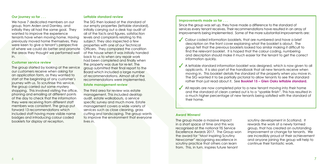#### **Improvements made so far . . .**

Since the group was set up, they have made a difference to the standard of services every tenant receives. Their recommendations have resulted in an array of improvements being implemented. Some of the more substantial improvements are:

- ◆ Colour coded information booklets, that are numbered and have a brief description on the front cover explaining what the booklet is about. The group felt that the previous booklets looked too similar making it difficult to find the relevant booklet. It is hoped that the colour coding, numbering and description should make it much easier for the tenant to get the correct information quickly.
- ◆ A lettable standard information booklet was designed, which is now given to all applicants. It is also part of the handbook that all new tenants receive when The SIG wanted it to be partially pictorial to allow tenants to see the standard rather than just read about it. See **Booklet 15 – Glen Oaks lettable standard.**
- ◆ All repairs are now completed prior to a new tenant moving into their home their home.

We have 7 dedicated members on our group, from Arden and Darnley, and initially they all had the same goal. They wanted to improve the experience tenants have when moving home. Having previously moved home themselves, they were keen to give a tenant's perspective of where we could do better and promote the areas they thought we performed well in.

moving in. This booklet details the standard of the property when you move in.

The group started by looking at the service our customers receive when asking for an application form, as they wanted to start at the beginning of any customer's journey with us. To scrutinise this service, the group carried out some mystery shopping. This involved visiting the office, phoning and emailing at different points of the day to check that the information they were receiving from different staff members was consistent. The group put forward 13 recommendations which included staff having more visible name badges and introducing colour coded booklets for display at reception.

and the standard of clean carried out is to a "sparkle finish". This has resulted in a much higher percentage of new tenants being satisfied with the standard of

#### **Our journey so far . . .**

The third area for review was estate management. This included desktop audit, estate walkabouts, a service specific survey and much more. Estate management covers a wide variety of services such as close cleaning, grass cutting and landscaping. The group wants to improve the environment that everyone lives in. The group made a massive impact

#### **Customer service review**

#### **Lettable standard review**

The SIG then looked at the standard of our empty properties (lettable standard), initially carrying out a desk top audit of all of the facts and figures, satisfaction levels and complaints relating to this subject. They also inspected a few properties with one of our Technical Officers. They compared the condition of the house when it was initially handed back to us to when any repair work had been completed and finally when the property was due for re-let. The group submitted their final report to the Board which included a large number of recommendations. Almost all of the recommendations were implemented.

#### **Estate management review**

in a short space of time and this was recognised at the national TIS Service Excellence Awards 2017. The Group won the award for "Most Inspiring Scrutiny Newcomer" recognising excellence in scrutiny practice that others can learn from. This, in turn, inspires future tenant

scrutiny development in Scotland. It rewards the work of a newly formed group, that has created an outstanding improvement or change for tenants. We are incredibly proud of their achievement and anyone joining the group will help to continue their fantastic work.

#### **Award Winners!**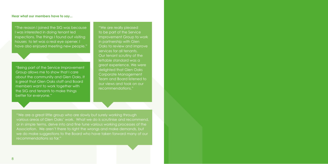#### **Hear what our members have to say...**

"The reason I joined the SIG was because I was interested in doing tenant led inspections. The things I found out visiting houses to let was a real eye opener. I have also enjoyed meeting new people."

"Being part of the Service Improvement Group allows me to show that I care about the community and Glen Oaks. It is great that Glen Oaks staff and Board members want to work together with the SIG and tenants to make things better for everyone."

"We are really pleased to be part of the Service Improvement Group to work in partnership with Glen Oaks to review and improve services for all tenants. Our tenant scrutiny of the lettable standard was a great experience. We were delighted that Glen Oaks Corporate Management Team and Board listened to our views and took on our recommendations."

"We are a great little group who are slowly but surely working through various areas of Glen Oaks' work. What we do is scrutinise and recommend, or in simple terms, delve into and fine tune various working processes of the Association. We aren't there to right the wrongs and make demands, but we do make suggestions to the Board who have taken forward many of our recommendations so far."